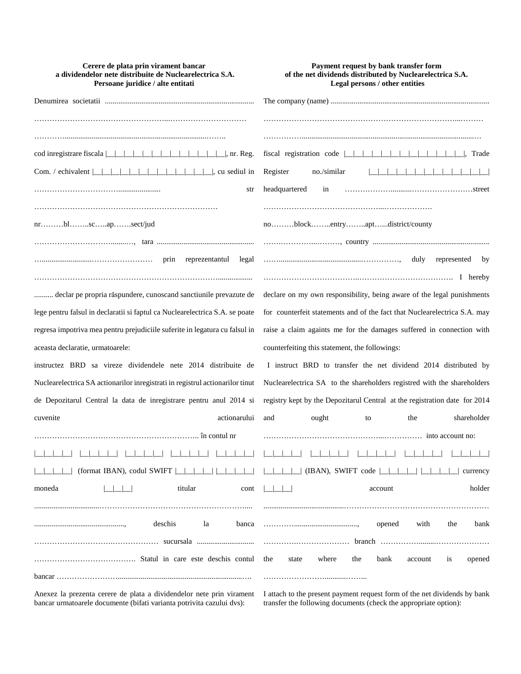| Cerere de plata prin virament bancar<br>a dividendelor nete distribuite de Nuclearelectrica S.A.<br>Persoane juridice / alte entitati | Payment request by bank transfer form<br>of the net dividends distributed by Nuclearelectrica S.A.<br>Legal persons / other entities |
|---------------------------------------------------------------------------------------------------------------------------------------|--------------------------------------------------------------------------------------------------------------------------------------|
|                                                                                                                                       |                                                                                                                                      |
|                                                                                                                                       |                                                                                                                                      |
|                                                                                                                                       |                                                                                                                                      |
|                                                                                                                                       | . Trade                                                                                                                              |
|                                                                                                                                       | Register<br>no./similar<br>.                                                                                                         |
| str                                                                                                                                   | headquartered<br>in                                                                                                                  |
|                                                                                                                                       |                                                                                                                                      |
| $nr$ blscapsect/jud                                                                                                                   | noblockentryaptdistrict/county                                                                                                       |
|                                                                                                                                       |                                                                                                                                      |
| prin<br>reprezentantul<br>legal                                                                                                       | duly<br>represented by                                                                                                               |
|                                                                                                                                       |                                                                                                                                      |
| declar pe propria răspundere, cunoscand sanctiunile prevazute de                                                                      | declare on my own responsibility, being aware of the legal punishments                                                               |
| lege pentru falsul in declaratii si faptul ca Nuclearelectrica S.A. se poate                                                          | for counterfeit statements and of the fact that Nuclearelectrica S.A. may                                                            |
| regresa impotriva mea pentru prejudiciile suferite in legatura cu falsul in                                                           | raise a claim againts me for the damages suffered in connection with                                                                 |
| aceasta declaratie, urmatoarele:                                                                                                      | counterfeiting this statement, the followings:                                                                                       |
| instructez BRD sa vireze dividendele nete 2014 distribuite de                                                                         | I instruct BRD to transfer the net dividend 2014 distributed by                                                                      |
| Nuclearelectrica SA actionarilor inregistrati in registrul actionarilor tinut                                                         | Nuclearelectrica SA to the shareholders registred with the shareholders                                                              |
| de Depozitarul Central la data de inregistrare pentru anul 2014 si                                                                    | registry kept by the Depozitarul Central at the registration date for 2014                                                           |
| actionarului<br>cuvenite                                                                                                              | shareholder<br>and<br>ought<br>the<br>to                                                                                             |
|                                                                                                                                       |                                                                                                                                      |
|                                                                                                                                       |                                                                                                                                      |
| (format IBAN), codul SWIFT                                                                                                            | $\Box$ (IBAN), SWIFT code $\Box$<br>currency                                                                                         |
| titular<br>moneda<br>cont                                                                                                             | holder<br>account                                                                                                                    |
|                                                                                                                                       |                                                                                                                                      |
| deschis<br>la<br>banca                                                                                                                | with<br>the<br>bank<br>opened                                                                                                        |
|                                                                                                                                       | .                                                                                                                                    |
|                                                                                                                                       | the<br>where<br>the<br>bank<br><i>is</i><br>state<br>account<br>opened                                                               |
| $bancar$                                                                                                                              |                                                                                                                                      |

Anexez la prezenta cerere de plata a dividendelor nete prin virament I attach to the present payment request form of the net dividends by bank bancar urmatoarele documente (bifati varianta potrivita cazului dvs):

transfer the following documents (check the appropriate option):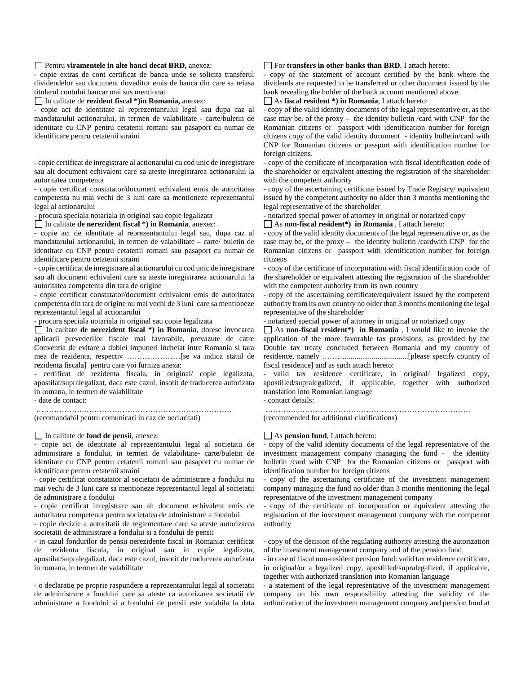# Pentru **viramentele in alte banci decat BRD,** anexez:

- copie extras de cont certificat de banca unde se solicita transferul dividendelor sau document doveditor emis de banca din care sa reiasa titularul contului bancar mai sus mentionat

In calitate de **rezident fiscal \*)in Romania,** anexez:

- copie act de identitate al reprezentantului legal sau dupa caz al mandatarului actionarului, in termen de valabilitate - carte/buletin de identitate cu CNP pentru cetatenii romani sau pasaport cu numar de identificare pentru cetatenii straini

- copie certificat de inregistrare al actionarului cu cod unic de inregistrare sau alt document echivalent care sa ateste inregistrarea actionarului la autoritatea competenta

- copie certificat constatator/document echivalent emis de autoritatea competenta nu mai vechi de 3 luni care sa mentioneze reprezentantul legal al actionarului

- procura speciala notariala in original sau copie legalizata

In calitate **de nerezident fiscal \*) in Romania**, anexez:

- copie act de identitate al reprezentantului legal sau, dupa caz al mandatarului actionarului, in termen de valabilitate – carte/ buletin de identitate cu CNP pentru cetatenii romani sau pasaport cu numar de identificare pentru cetatenii straini

- copie certificat de inregistrare al actionarului cu cod unic de inregistrare sau alt document echivalent care sa ateste inregistrarea actionarului la autoritatea competenta din tara de origine

- copie certificat constatator/document echivalent emis de autoritatea competenta din tara de origine nu mai vechi de 3 luni care sa mentioneze reprezentantul legal al actionarului

- procura speciala notariala in original sau copie legalizata

In calitate **de nerezident fiscal \*) in Romania**, doresc invocarea aplicarii prevederilor fiscale mai favorabile, prevazute de catre Conventia de evitare a dublei impuneri incheiat intre Romania si tara mea de rezidenta, respectiv …………………[se va indica statul de rezidenta fiscala] pentru care voi furniza anexa:

- certificat de rezidenta fiscala, in original/ copie legalizata, apostilat/supralegalizat, daca este cazul, insotit de traducerea autorizata in romana, in termen de valabilitate

- date de contact:

……………….…………………………………………………. (recomandabil pentru comunicari in caz de neclaritati)

#### In calitate de **fond de pensii**, anexez:

- copie act de identitate al reprezentantului legal al societatii de administrare a fondului, in termen de valabilitate- carte/buletin de identitate cu CNP pentru cetatenii romani sau pasaport cu numar de identificare pentru cetatenii straini

- copie certificat constatator al societatii de administrare a fondului nu mai vechi de 3 luni care sa mentioneze reprezentantul legal al societatii de administrare a fondului

- copie certificat inregistrare sau alt document echivalent emis de autoritatea competenta pentru societatea de administrare a fondului

- copie decizie a autoritatii de reglementare care sa ateste autorizarea societatii de administrare a fondului si a fondului de pensii

- in cazul fondurilor de pensii nerezidente fiscal in Romania: certificat de rezidenta fiscala, in original sau in copie legalizata, apostilat/supralegalizat, daca este cazul, insotit de traducerea autorizata in romana, in termen de valabilitate

- o declaratie pe proprie raspundere a reprezentantului legal al societatii de administrare a fondului care sa ateste ca autorizarea societatii de administrare a fondului si a fondului de pensii este valabila la data

## For **transfers in other banks than BRD**, I attach hereto:

- copy of the statement of account certified by the bank where the dividends are requested to be transferred or other document issued by the bank revealing the holder of the bank account mentioned above.

As **fiscal resident \*) in Romania**, I attach hereto:

- copy of the valid identity documents of the legal representative or, as the case may be, of the proxy – the identity bulletin /card with CNP for the Romanian citizens or passport with identification number for foreign citizens copy of the valid identity document - identity bulletin/card with CNP for Romanian citizens or passport with identification number for foreign citizens.

- copy of the certificate of incorporation with fiscal identification code of the shareholder or equivalent attesting the registration of the shareholder with the competent authority

- copy of the ascertaining certificate issued by Trade Registry/ equivalent issued by the competent authority no older than 3 months mentioning the legal representative of the shareholder

- notarized special power of attorney in original or notarized copy As **non-fiscal resident\*) in Romania** , I attach hereto:

- copy of the valid identity documents of the legal representative or, as the case may be, of the proxy – the identity bulletin /cardwith CNP for the Romanian citizens or passport with identification number for foreign citizens

- copy of the certificate of incorporation with fiscal identification code of the shareholder or equivalent attesting the registration of the shareholder with the competent authority from its own country

- copy of the ascertaining certificate/equivalent issued by the competent authority from its own country no older than 3 months mentioning the legal representative of the shareholder

- notarized special power of attorney in original or notarized copy

As **non-fiscal resident\*) in Romania** , I would like to invoke the application of the more favorable tax provisions, as provided by the Double tax treaty concluded between Romania and my country of residence, namely ……….................................[please specify country of fiscal residence] and as such attach hereto:

valid tax residence certificate, in original/ legalized copy, apostilled/supralegalized, if applicable, together with authorized translation into Romanian language

- contact details:

…………..………………………………………………………….

(recommended for additional clarifications)

# As **pension fund**, I attach hereto:

- copy of the valid identity documents of the legal representative of the investment management company managing the fund – the identity bulletin /card with CNP for the Romanian citizens or passport with identification number for foreign citizens

- copy of the ascertaining certificate of the investment management company managing the fund no older than 3 months mentioning the legal representative of the investment management company

- copy of the certificate of incorporation or equivalent attesting the registration of the investment management company with the competent authority

- copy of the decision of the regulating authority attesting the autorization of the investment management company and of the pension fund

- in case of fiscal non-resident pension fund: valid tax residence certificate, in original/or a legalized copy, apostilled/supralegalized, if applicable, together with authorized translation into Romanian language

- a statement of the legal representative of the investment management company on his own responsibility attesting the validity of the authorization of the investment management company and pension fund at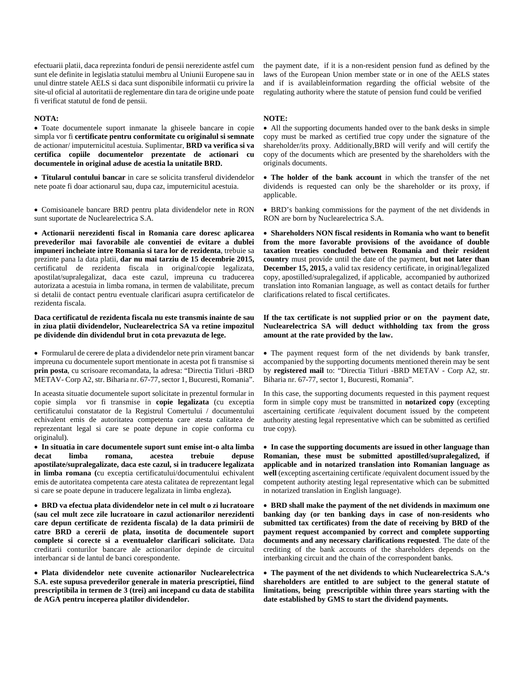efectuarii platii, daca reprezinta fonduri de pensii nerezidente astfel cum sunt ele definite in legislatia statului membru al Uniunii Europene sau in unul dintre statele AELS si daca sunt disponibile informatii cu privire la site-ul oficial al autoritatii de reglementare din tara de origine unde poate fi verificat statutul de fond de pensii.

#### **NOTA:**

• Toate documentele suport inmanate la ghiseele bancare in copie simpla vor fi **certificate pentru conformitate cu originalul si semnate** de actionar/ imputernicitul acestuia. Suplimentar, **BRD va verifica si va certifica copiile documentelor prezentate de actionari cu documentele in original aduse de acestia la unitatile BRD.**

• **Titularul contului bancar** in care se solicita transferul dividendelor nete poate fi doar actionarul sau, dupa caz, imputernicitul acestuia.

• Comisioanele bancare BRD pentru plata dividendelor nete in RON sunt suportate de Nuclearelectrica S.A.

• **Actionarii nerezidenti fiscal in Romania care doresc aplicarea prevederilor mai favorabile ale conventiei de evitare a dublei impuneri incheiate intre Romania si tara lor de rezidenta**, trebuie sa prezinte pana la data platii, **dar nu mai tarziu de 15 decembrie 2015,** certificatul de rezidenta fiscala in original/copie legalizata, apostilat/supralegalizat, daca este cazul, impreuna cu traducerea autorizata a acestuia in limba romana, in termen de valabilitate, precum si detalii de contact pentru eventuale clarificari asupra certificatelor de rezidenta fiscala.

**Daca certificatul de rezidenta fiscala nu este transmis inainte de sau in ziua platii dividendelor, Nuclearelectrica SA va retine impozitul pe dividende din dividendul brut in cota prevazuta de lege.**

• Formularul de cerere de plata a dividendelor nete prin virament bancar impreuna cu documentele suport mentionate in acesta pot fi transmise si **prin posta**, cu scrisoare recomandata, la adresa: "Directia Titluri -BRD METAV- Corp A2, str. Biharia nr. 67-77, sector 1, Bucuresti, Romania".

In aceasta situatie documentele suport solicitate in prezentul formular in copie simpla vor fi transmise in **copie legalizata** (cu exceptia certificatului constatator de la Registrul Comertului / documentului echivalent emis de autoritatea competenta care atesta calitatea de reprezentant legal si care se poate depune in copie conforma cu originalul).

• **In situatia in care documentele suport sunt emise int-o alta limba decat limba romana, acestea trebuie depuse apostilate/supralegalizate, daca este cazul, si in traducere legalizata in limba romana (**cu exceptia certificatului/documentului echivalent emis de autoritatea competenta care atesta calitatea de reprezentant legal si care se poate depune in traducere legalizata in limba engleza)**.**

• **BRD va efectua plata dividendelor nete in cel mult o zi lucratoare (sau cel mult zece zile lucratoare in cazul actionarilor nerezidenti care depun certificate de rezidenta fiscala) de la data primirii de catre BRD a cererii de plata, insotita de documentele suport complete si corecte si a eventualelor clarificari solicitate.** Data creditarii conturilor bancare ale actionarilor depinde de circuitul interbancar si de lantul de banci corespondente.

• **Plata dividendelor nete cuvenite actionarilor Nuclearelectrica S.A. este supusa prevederilor generale in materia prescriptiei, fiind prescriptibila in termen de 3 (trei) ani incepand cu data de stabilita de AGA pentru inceperea platilor dividendelor.**

the payment date, if it is a non-resident pension fund as defined by the laws of the European Union member state or in one of the AELS states and if is availableinformation regarding the official website of the regulating authority where the statute of pension fund could be verified

### **NOTE:**

• All the supporting documents handed over to the bank desks in simple copy must be marked as certified true copy under the signature of the shareholder/its proxy. Additionally,BRD will verify and will certify the copy of the documents which are presented by the shareholders with the originals documents.

- **The holder of the bank account** in which the transfer of the net dividends is requested can only be the shareholder or its proxy, if applicable.
- BRD's banking commissions for the payment of the net dividends in RON are born by Nuclearelectrica S.A.

• **Shareholders NON fiscal residents in Romania who want to benefit from the more favorable provisions of the avoidance of double taxation treaties concluded between Romania and their resident country** must provide until the date of the payment, **but not later than December 15, 2015,** a valid tax residency certificate, in original/legalized copy, apostilled/supralegalized, if applicable, accompanied by authorized translation into Romanian language, as well as contact details for further clarifications related to fiscal certificates.

# **If the tax certificate is not supplied prior or on the payment date, Nuclearelectrica SA will deduct withholding tax from the gross amount at the rate provided by the law.**

• The payment request form of the net dividends by bank transfer, accompanied by the supporting documents mentioned therein may be sent by **registered mail** to: "Directia Titluri -BRD METAV - Corp A2, str. Biharia nr. 67-77, sector 1, Bucuresti, Romania".

In this case, the supporting documents requested in this payment request form in simple copy must be transmitted in **notarized copy** (excepting ascertaining certificate /equivalent document issued by the competent authority atesting legal representative which can be submitted as certified true copy).

• **In case the supporting documents are issued in other language than Romanian, these must be submitted apostilled/supralegalized, if applicable and in notarized translation into Romanian language as well** (excepting ascertaining certificate /equivalent document issued by the competent authority atesting legal representative which can be submitted in notarized translation in English language).

• **BRD shall make the payment of the net dividends in maximum one banking day (or ten banking days in case of non-residents who submitted tax certificates) from the date of receiving by BRD of the payment request accompanied by correct and complete supporting documents and any necessary clarifications requested**. The date of the crediting of the bank accounts of the shareholders depends on the interbanking circuit and the chain of the correspondent banks.

• **The payment of the net dividends to which Nuclearelectrica S.A.'s shareholders are entitled to are subject to the general statute of limitations, being prescriptible within three years starting with the date established by GMS to start the dividend payments.**